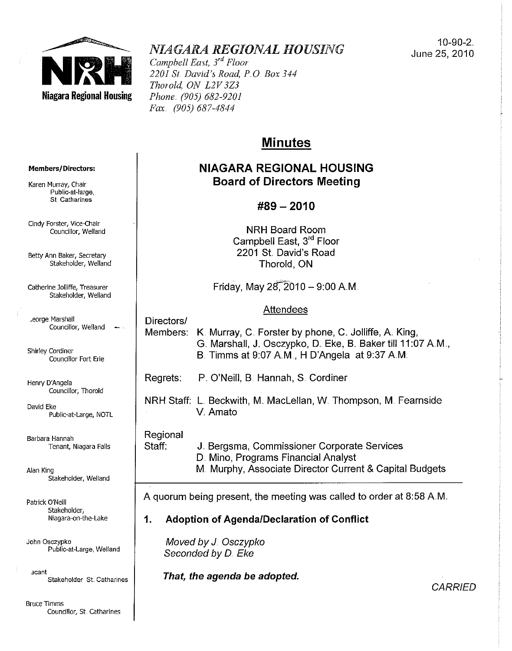

# *NIAGARA REGIONAL HOUSING*

*Campbell East, 3<sup>rd</sup> Floor 2201 Sf David's Road, PO Box 344 Thorold, ON L2V3Z3 Phone. (905) 682-9201 Fax (905) 687-4844* 

10-90-2. June 25, 2010

## **Minutes**

## **NIAGARA REGIONAL HOUSING Board of Directors Meeting**

## **#89 - 2010**

**NRH** Board Room Campbell East, 3rd Floor 2201 St. David's Road Thorold, ON

Friday, May  $28, 2010 - 9:00$  A.M.

## Attendees

Members: K. Murray, C. Forster by phone, C. Jolliffe, A. King, G. Marshall, J. Osczypko, D. Eke, B. Baker till 11:07 A.M., B. Timms at 9:07 AM, H D'Angela at 9:37 AM..

Regrets: P O'Neill, B. Hannah, S. Cordiner

**NRH** Staff: L. Beckwith, M.. Maclellan, W. Thompson, M. Fearnside v.. Amato

#### Regional

Directors/

Staff: J. Bergsma, Commissioner Corporate Services D. Mino, Programs Financial Analyst M. Murphy, Associate Director Current & Capital Budgets

A quorum being present, the meeting was called to order at 8:58 AM..

## **1. Adoption of Agenda/Declaration of Conflict**

Moved by J Osczypko Seconded by D. Eke

**That, the agenda be adopted.** 

**Members/Directors:** 

**Karen Murray, Chair Public-at-Iarge, St. Catharines** 

**Cindy Forster, Vice-Chair Councillor, Weiland** 

**Betty Ann Baker, Secretary**  Stakeholder, Weiland

**Catherine Jolliffe, Treasurer**  Stakeholder, Weiland

**... eorge Marshall**  Councillor, Weiland

**Shirley Cordiner Councillor Fort Erie** 

Henry D'Angela **Councillor, Thorold** 

David Eke Public-at-Large, NOTL

**Barbara Hannah Tenant, Niagara Falls** 

Alan King Stakeholder, Weiland

Patrick O'Neill Stakeholder, **Niagara-on-the-Lake** 

John Osczypko **Public-at-Large, Weiland** 

**acant Stakeholder St. Catharines** 

**Bruce Timms Councillor, St. Catharines**  **CARRIED**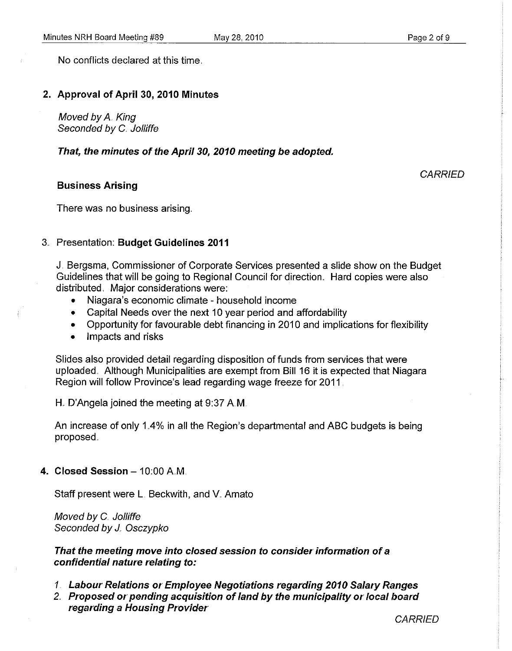No conflicts declared at this time.

## 2. Approval of April 30, 2010 Minutes

Moved by A King Seconded by C. Jolliffe

That, the minutes of the April 30, 2010 meeting be adopted.

## Business Arising

**CARRIED** 

There was no business arising ..

## 3 .. Presentation: Budget Guidelines 2011

J. Bergsma, Commissioner of Corporate Services presented a slide show on the Budget Guidelines that will be going to Regional Council for direction.. Hard copies were also distributed. Major considerations were:

- Niagara's economic climate household income
- Capital Needs over the next 10 year period and affordability
- Opportunity for favourable debt financing in 2010 and implications for flexibility
- Impacts and risks

Slides also provided detail regarding disposition of funds from services that were uploaded. Although Municipalities are exempt from Bill 16 it is expected that Niagara Region will follow Province's lead regarding wage freeze for 2011 .

H.. D'Angela joined the meeting at 9:37 AM

An increase of only 1 A% in all the Region's departmental and ABC budgets is being proposed.

## 4. Closed Session  $-10.00$  A.M.

Staff present were L. Beckwith, and V. Amato

Moved by C. Jolliffe Seconded by J. Osczypko

That the meeting move into closed session to consider information of a confidential nature relating to:

- *1.* Labour Relations or Employee Negotiations regarding 2010 Salary Ranges
- *2..* Proposed or pending acquisition of land by the municipality or local board regarding a Housing Provider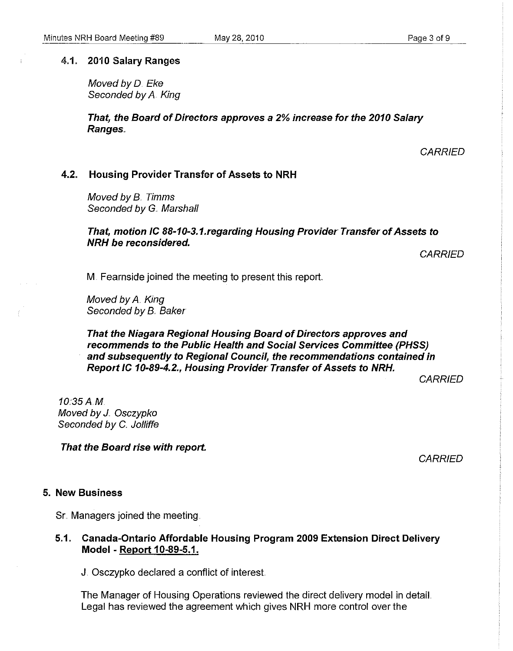#### 4.1. 2010 Salary Ranges

Moved by D. Eke Seconded by A. King

That, the Board of Directors approves a 2% increase for the 2010 Salary Ranges.

**CARRIED** 

#### 4.2. Housing Provider Transfer of Assets to NRH

Moved by B.. Timms Seconded by G. Marshall

#### That, motion IC 88-10-3.1.regarding Housing Provider Transfer of Assets to NRH be reconsidered.

**CARRIED** 

M. Feamside joined the meeting to present this report

Moved by A. King Seconded by B. Baker

That the Niagara Regional Housing Board of Directors approves and recommends to the Public Health and Social Services Committee (PHSS) and subsequently to Regional Council, the recommendations contained in Report IC 10-89-4.2., Housing Provider Transfer of Assets to NRH.

**CARRIFD** 

10.35AM Moved by *J.* Osczypko Seconded by C. Jolliffe

That the Board rise with report.

**CARRIED** 

#### 5. New Business

Sr. Managers joined the meeting.

## 5.1. Canada-Ontario Affordable Housing Program 2009 Extension Direct Delivery Model - Report 10-89-5.1.

J. Osczypko declared a conflict of interest

The Manager of Housing Operations reviewed the direct delivery model in detaiL Legal has reviewed the agreement which gives NRH more control over the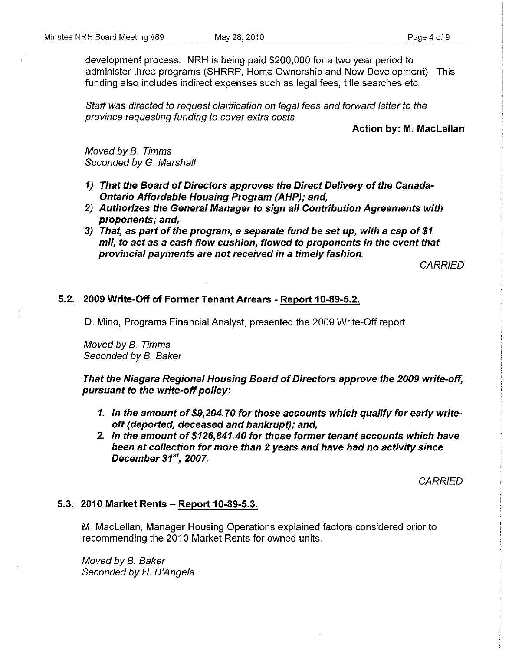development process. NRH is being paid \$200,000 for a two year period to administer three programs (SHRRP, Home Ownership and New Development). This funding also includes indirect expenses such as legal fees, title searches etc.

Staff was directed to request clarification on legal fees and forward letter to the province requesting funding to cover extra costs

#### Action by: M. Maclellan

Moved by 8.. Timms Seconded by G. Marshall

- 1) That the Board of Directors approves the Direct Delivery of the Canada-Ontario Affordable Housing Program (AHP); and,
- 2) Authorizes the General Manager to sign all Contribution Agreements with proponents; and,
- 3) That, as part of the program, a separate fund be set up, with a cap of \$1 mil, to act as a cash flow cushion, flowed to proponents in the event that provincial payments are not received in a timely fashion.,

**CARRIED** 

## 5.2. 2009 Write-Off of Former Tenant Arrears - Report 10-89-5.2.

D. Mino, Programs Financial Analyst, presented the 2009 Write-Off report

Moved by B. Timms Seconded by B. Baker

That the Niagara Regional Housing Board of Directors approve the 2009 write-off, pursuant to the write-off policy:

- 1. In the amount of \$9,204. 70 for those accounts which qualify for early writeoff (deported, deceased and bankrupt); and,
- 2. In the amount of \$126,841.40 for those former tenant accounts which have been at collection for more than 2 years and have had no activity since December 31*st,* 2007"

**CARRIED** 

#### 5.3. 2010 Market Rents - Report 10-89-5.3.

M.. Maclellan, Manager Housing Operations explained factors considered prior to recommending the 2010 Market Rents for owned units.

Moved by B. Baker Seconded by H. D'Angela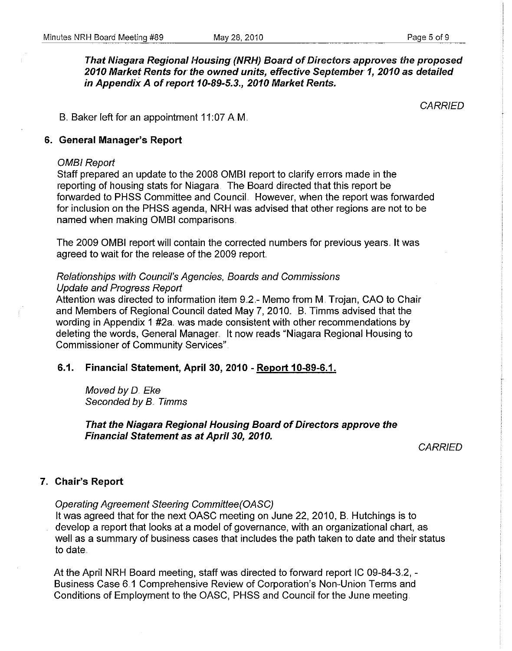That Niagara Regional Housing (NRH) Board of Directors approves the proposed 2010 Market Rents for the owned units, effective September 1, 2010 as detailed in Appendix A of report 10-89-5.3., 2010 Market Rents.

**CARRIED** 

B. Baker left for an appointment 11:07 A.M.

#### 6. General Manager's Report

#### OMBI Report

Staff prepared an update to the 2008 OMBI report to clarify errors made in the reporting of housing stats for Niagara. The Board directed that this report be forwarded to PHSS Committee and CounciL However, when the report was forwarded for inclusion on the PHSS agenda, NRH was advised that other regions are not to be named when making OMBI comparisons.

The 2009 OMBI report will contain the corrected numbers for previous years. It was agreed to wait for the release of the 2009 report.

## Relationships with Council's Agencies, Boards and Commissions Update and Progress Report

Attention was directed to information item 9.2.- Memo from M. Trojan, CAO to Chair and Members of Regional Council dated May 7, 2010. B. Timms advised that the wording in Appendix 1 #2a. was made consistent with other recommendations by deleting the words, General Manager.. It now reads "Niagara Regional Housing to Commissioner of Community Services".

## 6.1. Financial Statement, April 30, 2010 - Report 10-89-6.1.

Moved by D. Eke Seconded by B. Timms

That the Niagara Regional Housing Board of Directors approve the Financial Statement as at April 30, 2010.

**CARRIED** 

## 7. Chair's Report

Operating Agreement Steering Committee(OASC)

It was agreed that for the next OASC meeting on June 22, 2010, B. Hutchings is to develop a report that looks at a model of govemance, with an organizational chart, as well as a summary of business cases that includes the path taken to date and their status to date ..

At the April NRH Board meeting, staff was directed to forward report IC 09-84-3.2, -Business Case 6.1 Comprehensive Review of Corporation's Non-Union Terms and Conditions of Employment to the OASC, PHSS and Council for the June meeting.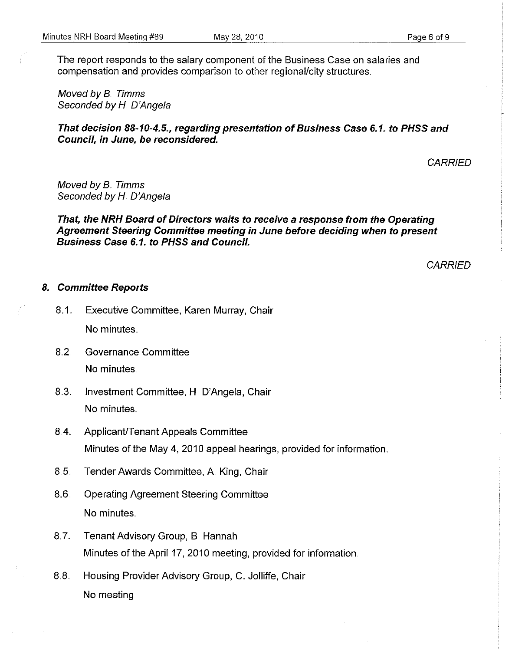The report responds to the salary component of the Business Case on salaries and compensation and provides comparison to other regional/city structures ..

Moved by 8. Timms Seconded by H. D'Angela

## **That decision** *88-10-4"5,,,* **regarding presentation of Business Case** 6" 1" **to PHSS and Council, in June, be reconsidered.**

**CARRIED** 

Moved by 8.. Timms Seconded by H. D'Angela

## **That, the NRH Board of Directors waits to receive a response from the Operating Agreement Steering Committee meeting in June before deciding when to present Business Case** 6.1. **to PHSS and Council.**

**CARRIED** 

#### *8.* **Committee Reports**

- 8.1. Executive Committee, Karen Murray, Chair No minutes.
- 8.2. Governance Committee No minutes
- 8.3. Investment Committee, H. D'Angela, Chair No minutes.
- 8.4. Applicant/Tenant Appeals Committee Minutes of the May 4, 2010 appeal hearings, provided for information ..
- 8.5.. Tender Awards Committee, A King, Chair
- 8.6. Operating Agreement Steering Committee No minutes
- 8.7. Tenant Advisory Group, B. Hannah Minutes of the April 17, 2010 meeting, provided for information.
- 8.8. Housing Provider Advisory Group, C. Jolliffe, Chair No meeting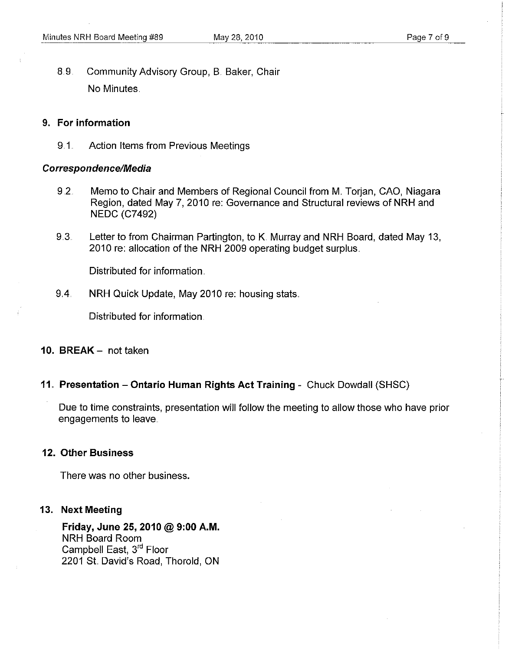8.9. Community Advisory Group, B. Baker, Chair No Minutes.

## 9. For information

9.1.. Action Items from Previous Meetings

## Correspondence/Media

- 9.2. Memo to Chair and Members of Regional Council from M. Torjan, CAO, Niagara Region, dated May 7,2010 re: Governance and Structural reviews of NRH and NEDC (C7492)
- 9.3. Letter to from Chairman Partington, to K. Murray and NRH Board, dated May 13, 2010 re: allocation of the NRH 2009 operating budget surplus.

Distributed for information.

9.4. NRH Quick Update, May 2010 re: housing stats.

Distributed for information.

## 10. BREAK - not taken

## 11. Presentation - Ontario Human Rights Act Training - Chuck Dowdall (SHSC)

Due to time constraints, presentation will follow the meeting to allow those who have prior engagements to leave

## 12. Other Business

There was no other business.

## 13. Next Meeting

Friday, June 25, 2010 @ 9:00 A.M. NRH Board Room Campbell East, 3rd Floor 2201 St David's Road, Thorold, ON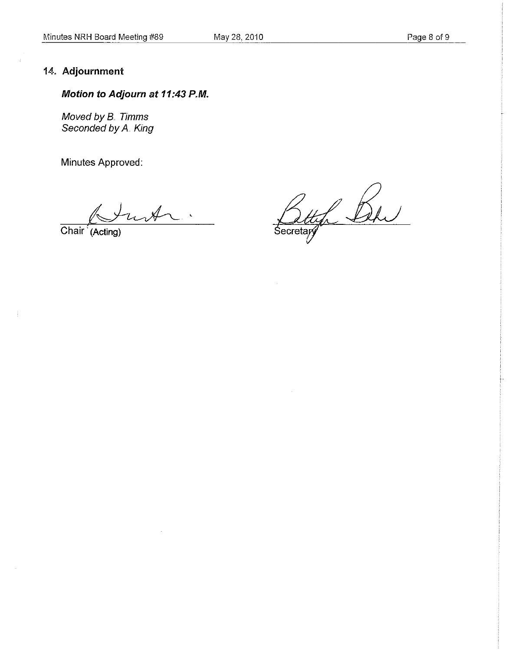## May 28,2010 Page 8 of 9

## 14" **Adjournment**

## **Motion to Adjourn at 11:43 P.M.**

Moved by B.. Timms Seconded by A. King

**Minutes** Approved:

 $\mathcal{A}_{\sim}$ .

**Chair '(ACting)** 

Bettyl Bl